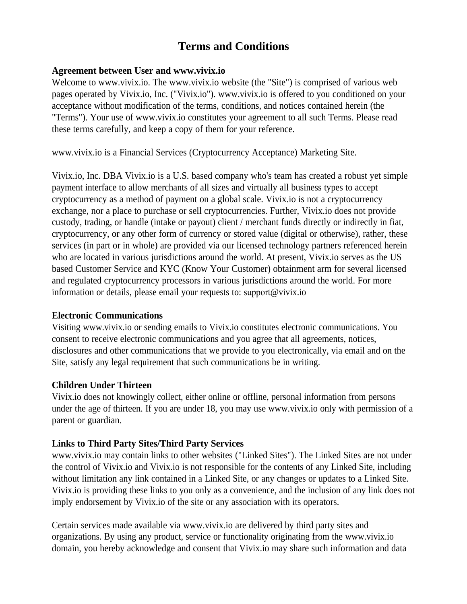# **Terms and Conditions**

## **Agreement between User and www.vivix.io**

Welcome to www.vivix.io. The www.vivix.io website (the "Site") is comprised of various web pages operated by Vivix.io, Inc. ("Vivix.io"). www.vivix.io is offered to you conditioned on your acceptance without modification of the terms, conditions, and notices contained herein (the "Terms"). Your use of www.vivix.io constitutes your agreement to all such Terms. Please read these terms carefully, and keep a copy of them for your reference.

www.vivix.io is a Financial Services (Cryptocurrency Acceptance) Marketing Site.

Vivix.io, Inc. DBA Vivix.io is a U.S. based company who's team has created a robust yet simple payment interface to allow merchants of all sizes and virtually all business types to accept cryptocurrency as a method of payment on a global scale. Vivix.io is not a cryptocurrency exchange, nor a place to purchase or sell cryptocurrencies. Further, Vivix.io does not provide custody, trading, or handle (intake or payout) client / merchant funds directly or indirectly in fiat, cryptocurrency, or any other form of currency or stored value (digital or otherwise), rather, these services (in part or in whole) are provided via our licensed technology partners referenced herein who are located in various jurisdictions around the world. At present, Vivix.io serves as the US based Customer Service and KYC (Know Your Customer) obtainment arm for several licensed and regulated cryptocurrency processors in various jurisdictions around the world. For more information or details, please email your requests to: support@vivix.io

#### **Electronic Communications**

Visiting www.vivix.io or sending emails to Vivix.io constitutes electronic communications. You consent to receive electronic communications and you agree that all agreements, notices, disclosures and other communications that we provide to you electronically, via email and on the Site, satisfy any legal requirement that such communications be in writing.

## **Children Under Thirteen**

Vivix.io does not knowingly collect, either online or offline, personal information from persons under the age of thirteen. If you are under 18, you may use www.vivix.io only with permission of a parent or guardian.

## **Links to Third Party Sites/Third Party Services**

www.vivix.io may contain links to other websites ("Linked Sites"). The Linked Sites are not under the control of Vivix.io and Vivix.io is not responsible for the contents of any Linked Site, including without limitation any link contained in a Linked Site, or any changes or updates to a Linked Site. Vivix.io is providing these links to you only as a convenience, and the inclusion of any link does not imply endorsement by Vivix.io of the site or any association with its operators.

Certain services made available via www.vivix.io are delivered by third party sites and organizations. By using any product, service or functionality originating from the www.vivix.io domain, you hereby acknowledge and consent that Vivix.io may share such information and data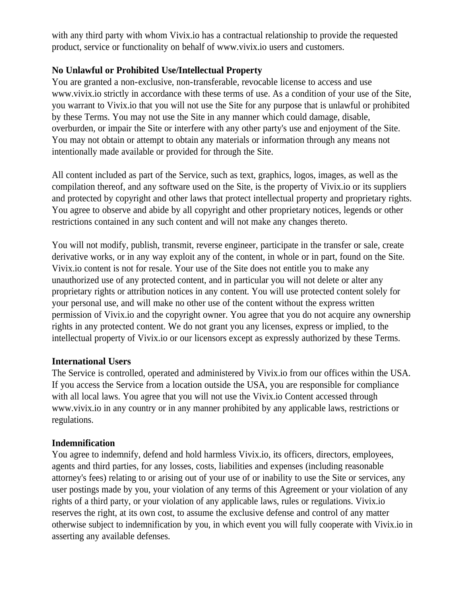with any third party with whom Vivix.io has a contractual relationship to provide the requested product, service or functionality on behalf of www.vivix.io users and customers.

## **No Unlawful or Prohibited Use/Intellectual Property**

You are granted a non-exclusive, non-transferable, revocable license to access and use www.vivix.io strictly in accordance with these terms of use. As a condition of your use of the Site, you warrant to Vivix.io that you will not use the Site for any purpose that is unlawful or prohibited by these Terms. You may not use the Site in any manner which could damage, disable, overburden, or impair the Site or interfere with any other party's use and enjoyment of the Site. You may not obtain or attempt to obtain any materials or information through any means not intentionally made available or provided for through the Site.

All content included as part of the Service, such as text, graphics, logos, images, as well as the compilation thereof, and any software used on the Site, is the property of Vivix.io or its suppliers and protected by copyright and other laws that protect intellectual property and proprietary rights. You agree to observe and abide by all copyright and other proprietary notices, legends or other restrictions contained in any such content and will not make any changes thereto.

You will not modify, publish, transmit, reverse engineer, participate in the transfer or sale, create derivative works, or in any way exploit any of the content, in whole or in part, found on the Site. Vivix.io content is not for resale. Your use of the Site does not entitle you to make any unauthorized use of any protected content, and in particular you will not delete or alter any proprietary rights or attribution notices in any content. You will use protected content solely for your personal use, and will make no other use of the content without the express written permission of Vivix.io and the copyright owner. You agree that you do not acquire any ownership rights in any protected content. We do not grant you any licenses, express or implied, to the intellectual property of Vivix.io or our licensors except as expressly authorized by these Terms.

#### **International Users**

The Service is controlled, operated and administered by Vivix.io from our offices within the USA. If you access the Service from a location outside the USA, you are responsible for compliance with all local laws. You agree that you will not use the Vivix.io Content accessed through www.vivix.io in any country or in any manner prohibited by any applicable laws, restrictions or regulations.

## **Indemnification**

You agree to indemnify, defend and hold harmless Vivix.io, its officers, directors, employees, agents and third parties, for any losses, costs, liabilities and expenses (including reasonable attorney's fees) relating to or arising out of your use of or inability to use the Site or services, any user postings made by you, your violation of any terms of this Agreement or your violation of any rights of a third party, or your violation of any applicable laws, rules or regulations. Vivix.io reserves the right, at its own cost, to assume the exclusive defense and control of any matter otherwise subject to indemnification by you, in which event you will fully cooperate with Vivix.io in asserting any available defenses.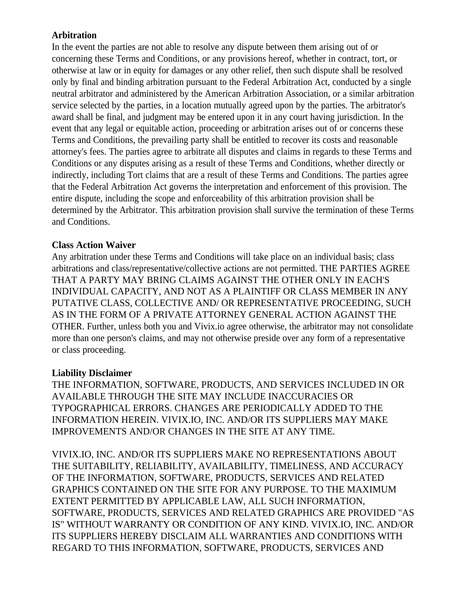## **Arbitration**

In the event the parties are not able to resolve any dispute between them arising out of or concerning these Terms and Conditions, or any provisions hereof, whether in contract, tort, or otherwise at law or in equity for damages or any other relief, then such dispute shall be resolved only by final and binding arbitration pursuant to the Federal Arbitration Act, conducted by a single neutral arbitrator and administered by the American Arbitration Association, or a similar arbitration service selected by the parties, in a location mutually agreed upon by the parties. The arbitrator's award shall be final, and judgment may be entered upon it in any court having jurisdiction. In the event that any legal or equitable action, proceeding or arbitration arises out of or concerns these Terms and Conditions, the prevailing party shall be entitled to recover its costs and reasonable attorney's fees. The parties agree to arbitrate all disputes and claims in regards to these Terms and Conditions or any disputes arising as a result of these Terms and Conditions, whether directly or indirectly, including Tort claims that are a result of these Terms and Conditions. The parties agree that the Federal Arbitration Act governs the interpretation and enforcement of this provision. The entire dispute, including the scope and enforceability of this arbitration provision shall be determined by the Arbitrator. This arbitration provision shall survive the termination of these Terms and Conditions.

## **Class Action Waiver**

Any arbitration under these Terms and Conditions will take place on an individual basis; class arbitrations and class/representative/collective actions are not permitted. THE PARTIES AGREE THAT A PARTY MAY BRING CLAIMS AGAINST THE OTHER ONLY IN EACH'S INDIVIDUAL CAPACITY, AND NOT AS A PLAINTIFF OR CLASS MEMBER IN ANY PUTATIVE CLASS, COLLECTIVE AND/ OR REPRESENTATIVE PROCEEDING, SUCH AS IN THE FORM OF A PRIVATE ATTORNEY GENERAL ACTION AGAINST THE OTHER. Further, unless both you and Vivix.io agree otherwise, the arbitrator may not consolidate more than one person's claims, and may not otherwise preside over any form of a representative or class proceeding.

## **Liability Disclaimer**

THE INFORMATION, SOFTWARE, PRODUCTS, AND SERVICES INCLUDED IN OR AVAILABLE THROUGH THE SITE MAY INCLUDE INACCURACIES OR TYPOGRAPHICAL ERRORS. CHANGES ARE PERIODICALLY ADDED TO THE INFORMATION HEREIN. VIVIX.IO, INC. AND/OR ITS SUPPLIERS MAY MAKE IMPROVEMENTS AND/OR CHANGES IN THE SITE AT ANY TIME.

VIVIX.IO, INC. AND/OR ITS SUPPLIERS MAKE NO REPRESENTATIONS ABOUT THE SUITABILITY, RELIABILITY, AVAILABILITY, TIMELINESS, AND ACCURACY OF THE INFORMATION, SOFTWARE, PRODUCTS, SERVICES AND RELATED GRAPHICS CONTAINED ON THE SITE FOR ANY PURPOSE. TO THE MAXIMUM EXTENT PERMITTED BY APPLICABLE LAW, ALL SUCH INFORMATION, SOFTWARE, PRODUCTS, SERVICES AND RELATED GRAPHICS ARE PROVIDED "AS IS" WITHOUT WARRANTY OR CONDITION OF ANY KIND. VIVIX.IO, INC. AND/OR ITS SUPPLIERS HEREBY DISCLAIM ALL WARRANTIES AND CONDITIONS WITH REGARD TO THIS INFORMATION, SOFTWARE, PRODUCTS, SERVICES AND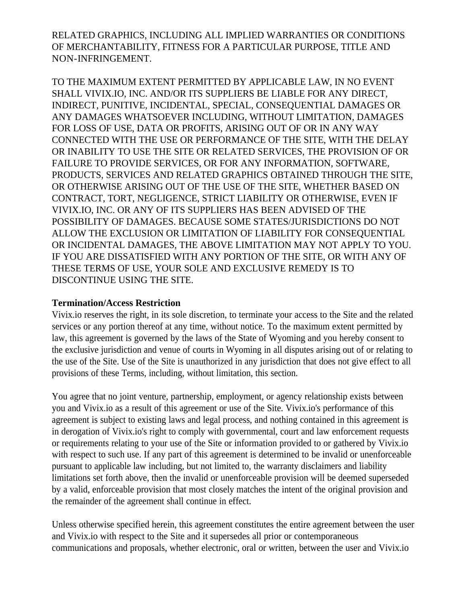RELATED GRAPHICS, INCLUDING ALL IMPLIED WARRANTIES OR CONDITIONS OF MERCHANTABILITY, FITNESS FOR A PARTICULAR PURPOSE, TITLE AND NON-INFRINGEMENT.

TO THE MAXIMUM EXTENT PERMITTED BY APPLICABLE LAW, IN NO EVENT SHALL VIVIX.IO, INC. AND/OR ITS SUPPLIERS BE LIABLE FOR ANY DIRECT, INDIRECT, PUNITIVE, INCIDENTAL, SPECIAL, CONSEQUENTIAL DAMAGES OR ANY DAMAGES WHATSOEVER INCLUDING, WITHOUT LIMITATION, DAMAGES FOR LOSS OF USE, DATA OR PROFITS, ARISING OUT OF OR IN ANY WAY CONNECTED WITH THE USE OR PERFORMANCE OF THE SITE, WITH THE DELAY OR INABILITY TO USE THE SITE OR RELATED SERVICES, THE PROVISION OF OR FAILURE TO PROVIDE SERVICES, OR FOR ANY INFORMATION, SOFTWARE, PRODUCTS, SERVICES AND RELATED GRAPHICS OBTAINED THROUGH THE SITE, OR OTHERWISE ARISING OUT OF THE USE OF THE SITE, WHETHER BASED ON CONTRACT, TORT, NEGLIGENCE, STRICT LIABILITY OR OTHERWISE, EVEN IF VIVIX.IO, INC. OR ANY OF ITS SUPPLIERS HAS BEEN ADVISED OF THE POSSIBILITY OF DAMAGES. BECAUSE SOME STATES/JURISDICTIONS DO NOT ALLOW THE EXCLUSION OR LIMITATION OF LIABILITY FOR CONSEQUENTIAL OR INCIDENTAL DAMAGES, THE ABOVE LIMITATION MAY NOT APPLY TO YOU. IF YOU ARE DISSATISFIED WITH ANY PORTION OF THE SITE, OR WITH ANY OF THESE TERMS OF USE, YOUR SOLE AND EXCLUSIVE REMEDY IS TO DISCONTINUE USING THE SITE.

#### **Termination/Access Restriction**

Vivix.io reserves the right, in its sole discretion, to terminate your access to the Site and the related services or any portion thereof at any time, without notice. To the maximum extent permitted by law, this agreement is governed by the laws of the State of Wyoming and you hereby consent to the exclusive jurisdiction and venue of courts in Wyoming in all disputes arising out of or relating to the use of the Site. Use of the Site is unauthorized in any jurisdiction that does not give effect to all provisions of these Terms, including, without limitation, this section.

You agree that no joint venture, partnership, employment, or agency relationship exists between you and Vivix.io as a result of this agreement or use of the Site. Vivix.io's performance of this agreement is subject to existing laws and legal process, and nothing contained in this agreement is in derogation of Vivix.io's right to comply with governmental, court and law enforcement requests or requirements relating to your use of the Site or information provided to or gathered by Vivix.io with respect to such use. If any part of this agreement is determined to be invalid or unenforceable pursuant to applicable law including, but not limited to, the warranty disclaimers and liability limitations set forth above, then the invalid or unenforceable provision will be deemed superseded by a valid, enforceable provision that most closely matches the intent of the original provision and the remainder of the agreement shall continue in effect.

Unless otherwise specified herein, this agreement constitutes the entire agreement between the user and Vivix.io with respect to the Site and it supersedes all prior or contemporaneous communications and proposals, whether electronic, oral or written, between the user and Vivix.io